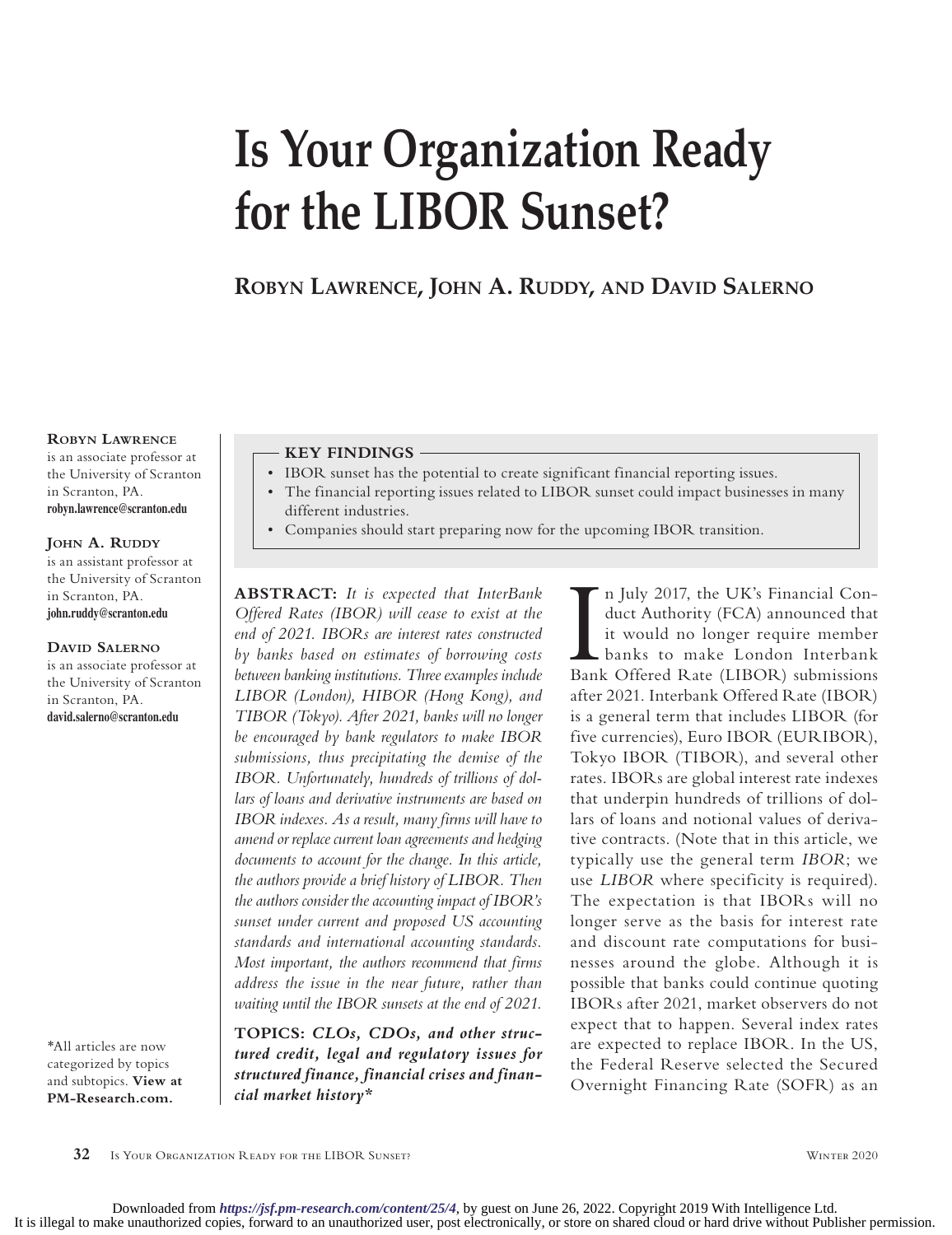# **Is Your Organization Ready for the LIBOR Sunset?**

**Robyn Lawrence, John A. Ruddy, and David Salerno**

#### **Robyn Lawrence**

is an associate professor at the University of Scranton in Scranton, PA. **robyn.lawrence@scranton.edu**

#### **JOHN A. RUDDY**

is an assistant professor at the University of Scranton in Scranton, PA. **john.ruddy@scranton.edu**

#### **David Salerno**

is an associate professor at the University of Scranton in Scranton, PA. **david.salerno@scranton.edu**

\*All articles are now categorized by topics and subtopics. **View at [PM-Research.com.](http://www.PM-Research.com)**

#### **KEY FINDINGS**

- IBOR sunset has the potential to create significant financial reporting issues.
- The financial reporting issues related to LIBOR sunset could impact businesses in many different industries.
- Companies should start preparing now for the upcoming IBOR transition.

**ABSTRACT:** *It is expected that InterBank Offered Rates (IBOR) will cease to exist at the end of 2021. IBORs are interest rates constructed by banks based on estimates of borrowing costs between banking institutions. Three examples include LIBOR (London), HIBOR (Hong Kong), and TIBOR (Tokyo). After 2021, banks will no longer be encouraged by bank regulators to make IBOR submissions, thus precipitating the demise of the IBOR. Unfortunately, hundreds of trillions of dollars of loans and derivative instruments are based on IBOR indexes. As a result, many firms will have to amend or replace current loan agreements and hedging documents to account for the change. In this article, the authors provide a brief history of LIBOR. Then the authors consider the accounting impact of IBOR's sunset under current and proposed US accounting standards and international accounting standards. Most important, the authors recommend that firms address the issue in the near future, rather than waiting until the IBOR sunsets at the end of 2021.*

**TOPICS:** *[CLOs, CDOs, and other struc](https://www.iijournals.com/topic/clos-cdos-and-other-structured-credit
)[tured credit](https://www.iijournals.com/topic/clos-cdos-and-other-structured-credit
), [legal and regulatory issues for](https://www.iijournals.com/topic/legal-and-regulatory-issues-structured-finance
)  [structured finance,](https://www.iijournals.com/topic/legal-and-regulatory-issues-structured-finance
) [financial crises and finan](https://www.iijournals.com/topic/financial-crises-and-financial-market-history
)[cial market history](https://www.iijournals.com/topic/financial-crises-and-financial-market-history
)\**

In July 2017, the UK's Financial Conduct Authority (FCA) announced that<br>it would no longer require member<br>banks to make London Interbank<br>Bank Offered Rate (LIBOR) submissions n July 2017, the UK's Financial Conduct Authority (FCA) announced that it would no longer require member banks to make London Interbank after 2021. Interbank Offered Rate (IBOR) is a general term that includes LIBOR (for five currencies), Euro IBOR (EURIBOR), Tokyo IBOR (TIBOR), and several other rates. IBORs are global interest rate indexes that underpin hundreds of trillions of dollars of loans and notional values of derivative contracts. (Note that in this article, we typically use the general term *IBOR*; we use *LIBOR* where specificity is required). The expectation is that IBORs will no longer serve as the basis for interest rate and discount rate computations for businesses around the globe. Although it is possible that banks could continue quoting IBORs after 2021, market observers do not expect that to happen. Several index rates are expected to replace IBOR. In the US, the Federal Reserve selected the Secured Overnight Financing Rate (SOFR) as an

**32** Is Your Organization Ready for the LIBOR Sunset? Winter 2020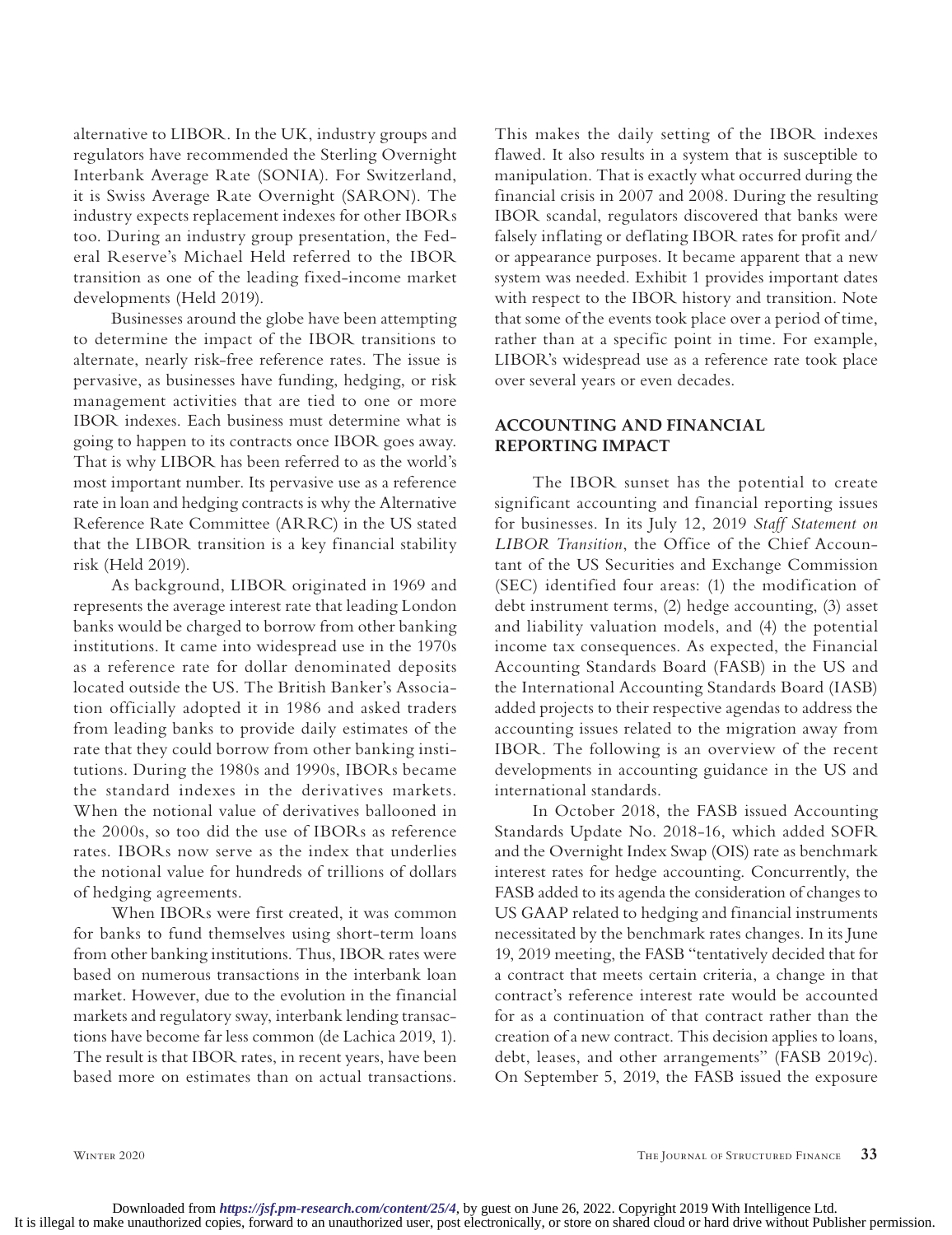alternative to LIBOR. In the UK, industry groups and regulators have recommended the Sterling Overnight Interbank Average Rate (SONIA). For Switzerland, it is Swiss Average Rate Overnight (SARON). The industry expects replacement indexes for other IBORs too. During an industry group presentation, the Federal Reserve's Michael Held referred to the IBOR transition as one of the leading fixed-income market developments (Held 2019).

Businesses around the globe have been attempting to determine the impact of the IBOR transitions to alternate, nearly risk-free reference rates. The issue is pervasive, as businesses have funding, hedging, or risk management activities that are tied to one or more IBOR indexes. Each business must determine what is going to happen to its contracts once IBOR goes away. That is why LIBOR has been referred to as the world's most important number. Its pervasive use as a reference rate in loan and hedging contracts is why the Alternative Reference Rate Committee (ARRC) in the US stated that the LIBOR transition is a key financial stability risk (Held 2019).

As background, LIBOR originated in 1969 and represents the average interest rate that leading London banks would be charged to borrow from other banking institutions. It came into widespread use in the 1970s as a reference rate for dollar denominated deposits located outside the US. The British Banker's Association officially adopted it in 1986 and asked traders from leading banks to provide daily estimates of the rate that they could borrow from other banking institutions. During the 1980s and 1990s, IBORs became the standard indexes in the derivatives markets. When the notional value of derivatives ballooned in the 2000s, so too did the use of IBORs as reference rates. IBORs now serve as the index that underlies the notional value for hundreds of trillions of dollars of hedging agreements.

When IBORs were first created, it was common for banks to fund themselves using short-term loans from other banking institutions. Thus, IBOR rates were based on numerous transactions in the interbank loan market. However, due to the evolution in the financial markets and regulatory sway, interbank lending transactions have become far less common (de Lachica 2019, 1). The result is that IBOR rates, in recent years, have been based more on estimates than on actual transactions.

This makes the daily setting of the IBOR indexes flawed. It also results in a system that is susceptible to manipulation. That is exactly what occurred during the financial crisis in 2007 and 2008. During the resulting IBOR scandal, regulators discovered that banks were falsely inflating or deflating IBOR rates for profit and/ or appearance purposes. It became apparent that a new system was needed. Exhibit 1 provides important dates with respect to the IBOR history and transition. Note that some of the events took place over a period of time, rather than at a specific point in time. For example, LIBOR's widespread use as a reference rate took place over several years or even decades.

# **ACCOUNTING AND FINANCIAL REPORTING IMPACT**

The IBOR sunset has the potential to create significant accounting and financial reporting issues for businesses. In its July 12, 2019 *Staff Statement on LIBOR Transition*, the Office of the Chief Accountant of the US Securities and Exchange Commission (SEC) identified four areas: (1) the modification of debt instrument terms, (2) hedge accounting, (3) asset and liability valuation models, and (4) the potential income tax consequences. As expected, the Financial Accounting Standards Board (FASB) in the US and the International Accounting Standards Board (IASB) added projects to their respective agendas to address the accounting issues related to the migration away from IBOR. The following is an overview of the recent developments in accounting guidance in the US and international standards.

In October 2018, the FASB issued Accounting Standards Update No. 2018-16, which added SOFR and the Overnight Index Swap (OIS) rate as benchmark interest rates for hedge accounting. Concurrently, the FASB added to its agenda the consideration of changes to US GAAP related to hedging and financial instruments necessitated by the benchmark rates changes. In its June 19, 2019 meeting, the FASB "tentatively decided that for a contract that meets certain criteria, a change in that contract's reference interest rate would be accounted for as a continuation of that contract rather than the creation of a new contract. This decision applies to loans, debt, leases, and other arrangements" (FASB 2019c). On September 5, 2019, the FASB issued the exposure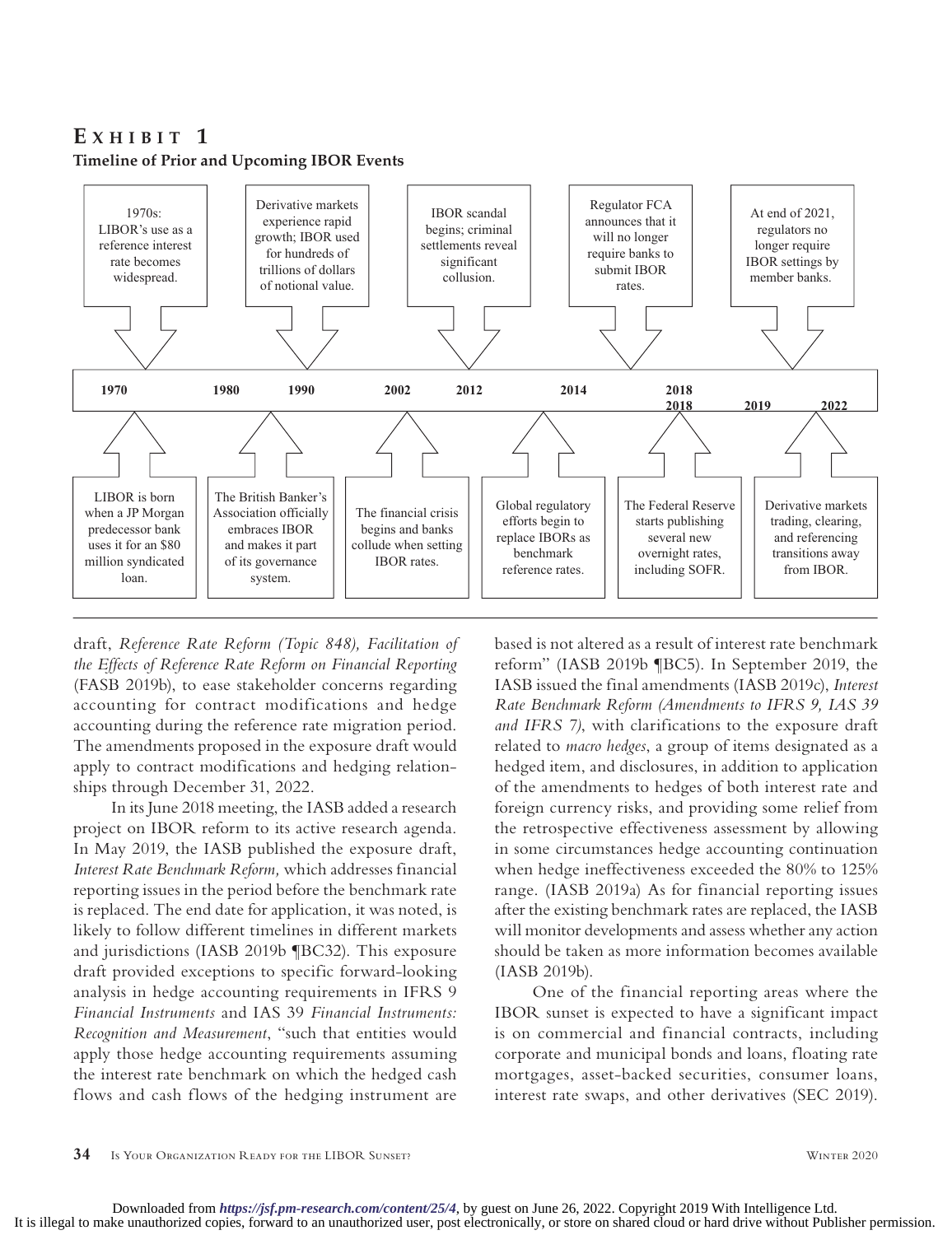# **E x H I B** I **T** 1 **Timeline of Prior and Upcoming IBOR Events**



draft, *Reference Rate Reform (Topic 848), Facilitation of the Effects of Reference Rate Reform on Financial Reporting* (FASB 2019b), to ease stakeholder concerns regarding accounting for contract modifications and hedge accounting during the reference rate migration period. The amendments proposed in the exposure draft would apply to contract modifications and hedging relationships through December 31, 2022.

In its June 2018 meeting, the IASB added a research project on IBOR reform to its active research agenda. In May 2019, the IASB published the exposure draft, *Interest Rate Benchmark Reform,* which addresses financial reporting issues in the period before the benchmark rate is replaced. The end date for application, it was noted, is likely to follow different timelines in different markets and jurisdictions (IASB 2019b ¶BC32). This exposure draft provided exceptions to specific forward-looking analysis in hedge accounting requirements in IFRS 9 *Financial Instruments* and IAS 39 *Financial Instruments: Recognition and Measurement*, "such that entities would apply those hedge accounting requirements assuming the interest rate benchmark on which the hedged cash flows and cash flows of the hedging instrument are

based is not altered as a result of interest rate benchmark reform" (IASB 2019b ¶BC5). In September 2019, the IASB issued the final amendments (IASB 2019c), *Interest Rate Benchmark Reform (Amendments to IFRS 9, IAS 39 and IFRS 7)*, with clarifications to the exposure draft related to *macro hedges*, a group of items designated as a hedged item, and disclosures, in addition to application of the amendments to hedges of both interest rate and foreign currency risks, and providing some relief from the retrospective effectiveness assessment by allowing in some circumstances hedge accounting continuation when hedge ineffectiveness exceeded the 80% to 125% range. (IASB 2019a) As for financial reporting issues after the existing benchmark rates are replaced, the IASB will monitor developments and assess whether any action should be taken as more information becomes available (IASB 2019b).

One of the financial reporting areas where the IBOR sunset is expected to have a significant impact is on commercial and financial contracts, including corporate and municipal bonds and loans, floating rate mortgages, asset-backed securities, consumer loans, interest rate swaps, and other derivatives (SEC 2019).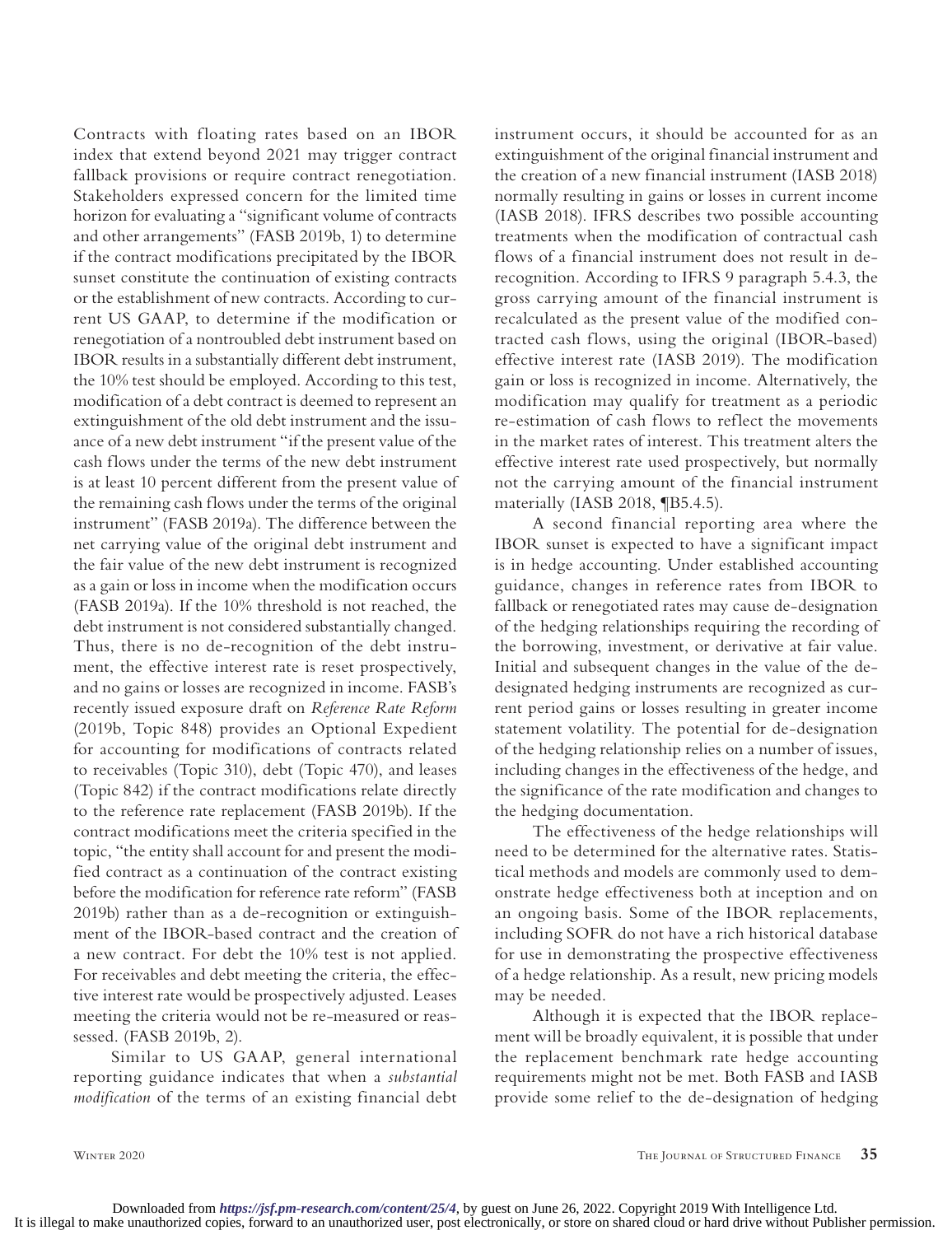Contracts with floating rates based on an IBOR index that extend beyond 2021 may trigger contract fallback provisions or require contract renegotiation. Stakeholders expressed concern for the limited time horizon for evaluating a "significant volume of contracts and other arrangements" (FASB 2019b, 1) to determine if the contract modifications precipitated by the IBOR sunset constitute the continuation of existing contracts or the establishment of new contracts. According to current US GAAP, to determine if the modification or renegotiation of a nontroubled debt instrument based on IBOR results in a substantially different debt instrument, the 10% test should be employed. According to this test, modification of a debt contract is deemed to represent an extinguishment of the old debt instrument and the issuance of a new debt instrument "if the present value of the cash flows under the terms of the new debt instrument is at least 10 percent different from the present value of the remaining cash flows under the terms of the original instrument" (FASB 2019a). The difference between the net carrying value of the original debt instrument and the fair value of the new debt instrument is recognized as a gain or loss in income when the modification occurs (FASB 2019a). If the 10% threshold is not reached, the debt instrument is not considered substantially changed. Thus, there is no de-recognition of the debt instrument, the effective interest rate is reset prospectively, and no gains or losses are recognized in income. FASB's recently issued exposure draft on *Reference Rate Reform* (2019b, Topic 848) provides an Optional Expedient for accounting for modifications of contracts related to receivables (Topic 310), debt (Topic 470), and leases (Topic 842) if the contract modifications relate directly to the reference rate replacement (FASB 2019b). If the contract modifications meet the criteria specified in the topic, "the entity shall account for and present the modified contract as a continuation of the contract existing before the modification for reference rate reform" (FASB 2019b) rather than as a de-recognition or extinguishment of the IBOR-based contract and the creation of a new contract. For debt the 10% test is not applied. For receivables and debt meeting the criteria, the effective interest rate would be prospectively adjusted. Leases meeting the criteria would not be re-measured or reassessed. (FASB 2019b, 2).

Similar to US GAAP, general international reporting guidance indicates that when a *substantial modification* of the terms of an existing financial debt instrument occurs, it should be accounted for as an extinguishment of the original financial instrument and the creation of a new financial instrument (IASB 2018) normally resulting in gains or losses in current income (IASB 2018). IFRS describes two possible accounting treatments when the modification of contractual cash flows of a financial instrument does not result in derecognition. According to IFRS 9 paragraph 5.4.3, the gross carrying amount of the financial instrument is recalculated as the present value of the modified contracted cash flows, using the original (IBOR-based) effective interest rate (IASB 2019). The modification gain or loss is recognized in income. Alternatively, the modification may qualify for treatment as a periodic re-estimation of cash flows to reflect the movements in the market rates of interest. This treatment alters the effective interest rate used prospectively, but normally not the carrying amount of the financial instrument materially (IASB 2018, ¶B5.4.5).

A second financial reporting area where the IBOR sunset is expected to have a significant impact is in hedge accounting. Under established accounting guidance, changes in reference rates from IBOR to fallback or renegotiated rates may cause de-designation of the hedging relationships requiring the recording of the borrowing, investment, or derivative at fair value. Initial and subsequent changes in the value of the dedesignated hedging instruments are recognized as current period gains or losses resulting in greater income statement volatility. The potential for de-designation of the hedging relationship relies on a number of issues, including changes in the effectiveness of the hedge, and the significance of the rate modification and changes to the hedging documentation.

The effectiveness of the hedge relationships will need to be determined for the alternative rates. Statistical methods and models are commonly used to demonstrate hedge effectiveness both at inception and on an ongoing basis. Some of the IBOR replacements, including SOFR do not have a rich historical database for use in demonstrating the prospective effectiveness of a hedge relationship. As a result, new pricing models may be needed.

Although it is expected that the IBOR replacement will be broadly equivalent, it is possible that under the replacement benchmark rate hedge accounting requirements might not be met. Both FASB and IASB provide some relief to the de-designation of hedging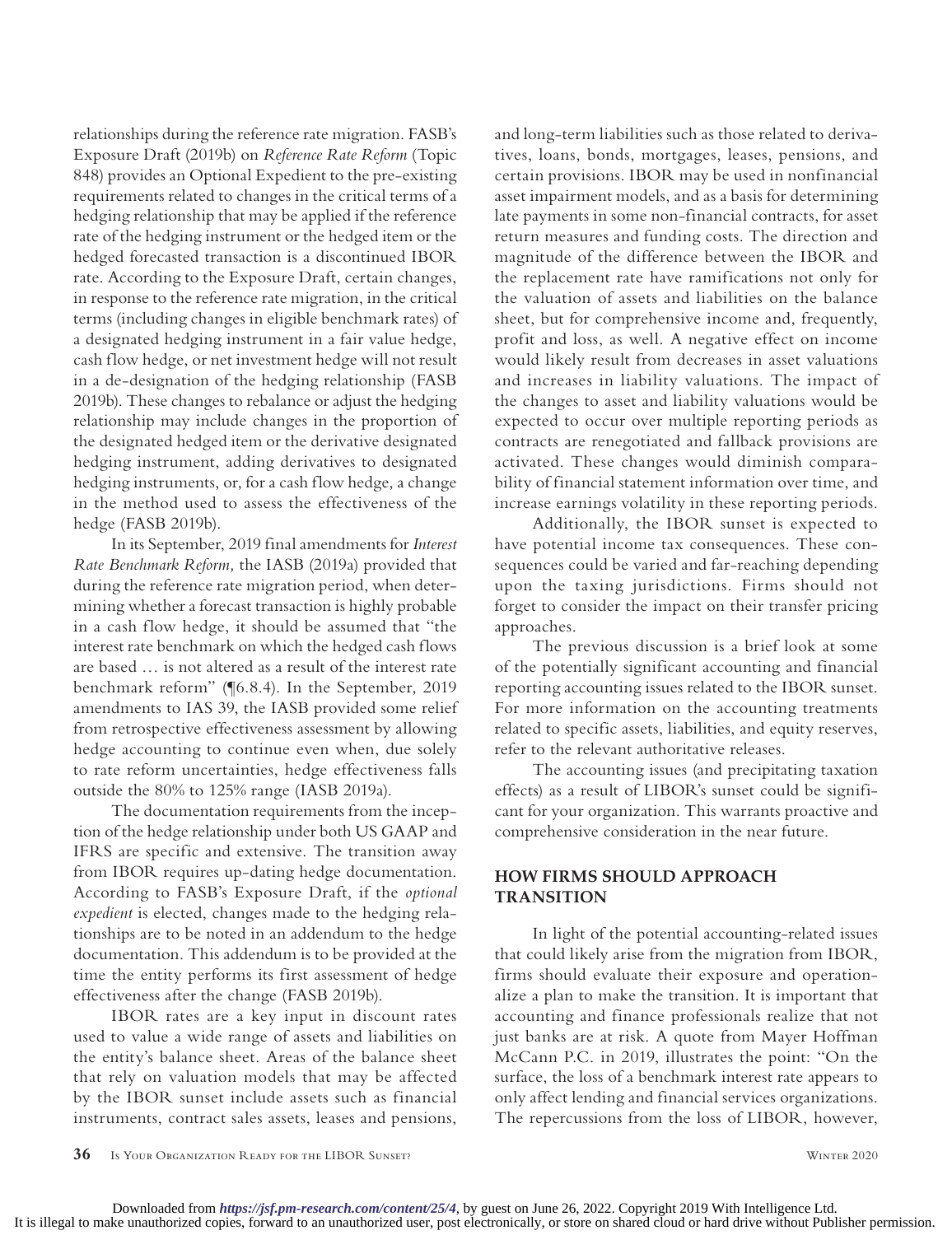relationships during the reference rate migration. FASB's Exposure Draft (2019b) on *Reference Rate Reform* (Topic 848) provides an Optional Expedient to the pre-existing requirements related to changes in the critical terms of a hedging relationship that may be applied if the reference rate of the hedging instrument or the hedged item or the hedged forecasted transaction is a discontinued IBOR rate. According to the Exposure Draft, certain changes, in response to the reference rate migration, in the critical terms (including changes in eligible benchmark rates) of a designated hedging instrument in a fair value hedge, cash flow hedge, or net investment hedge will not result in a de-designation of the hedging relationship (FASB 2019b). These changes to rebalance or adjust the hedging relationship may include changes in the proportion of the designated hedged item or the derivative designated hedging instrument, adding derivatives to designated hedging instruments, or, for a cash flow hedge, a change in the method used to assess the effectiveness of the hedge (FASB 2019b).

In its September, 2019 final amendments for *Interest Rate Benchmark Reform,* the IASB (2019a) provided that during the reference rate migration period, when determining whether a forecast transaction is highly probable in a cash flow hedge, it should be assumed that "the interest rate benchmark on which the hedged cash flows are based … is not altered as a result of the interest rate benchmark reform" (¶6.8.4). In the September, 2019 amendments to IAS 39, the IASB provided some relief from retrospective effectiveness assessment by allowing hedge accounting to continue even when, due solely to rate reform uncertainties, hedge effectiveness falls outside the 80% to 125% range (IASB 2019a).

The documentation requirements from the inception of the hedge relationship under both US GAAP and IFRS are specific and extensive. The transition away from IBOR requires up-dating hedge documentation. According to FASB's Exposure Draft, if the *optional expedient* is elected, changes made to the hedging relationships are to be noted in an addendum to the hedge documentation. This addendum is to be provided at the time the entity performs its first assessment of hedge effectiveness after the change (FASB 2019b).

IBOR rates are a key input in discount rates used to value a wide range of assets and liabilities on the entity's balance sheet. Areas of the balance sheet that rely on valuation models that may be affected by the IBOR sunset include assets such as financial instruments, contract sales assets, leases and pensions, and long-term liabilities such as those related to derivatives, loans, bonds, mortgages, leases, pensions, and certain provisions. IBOR may be used in nonfinancial asset impairment models, and as a basis for determining late payments in some non-financial contracts, for asset return measures and funding costs. The direction and magnitude of the difference between the IBOR and the replacement rate have ramifications not only for the valuation of assets and liabilities on the balance sheet, but for comprehensive income and, frequently, profit and loss, as well. A negative effect on income would likely result from decreases in asset valuations and increases in liability valuations. The impact of the changes to asset and liability valuations would be expected to occur over multiple reporting periods as contracts are renegotiated and fallback provisions are activated. These changes would diminish comparability of financial statement information over time, and increase earnings volatility in these reporting periods.

Additionally, the IBOR sunset is expected to have potential income tax consequences. These consequences could be varied and far-reaching depending upon the taxing jurisdictions. Firms should not forget to consider the impact on their transfer pricing approaches.

The previous discussion is a brief look at some of the potentially significant accounting and financial reporting accounting issues related to the IBOR sunset. For more information on the accounting treatments related to specific assets, liabilities, and equity reserves, refer to the relevant authoritative releases.

The accounting issues (and precipitating taxation effects) as a result of LIBOR's sunset could be significant for your organization. This warrants proactive and comprehensive consideration in the near future.

# **HOW FIRMS SHOULD APPROACH TRANSITION**

In light of the potential accounting-related issues that could likely arise from the migration from IBOR, firms should evaluate their exposure and operationalize a plan to make the transition. It is important that accounting and finance professionals realize that not just banks are at risk. A quote from Mayer Hoffman McCann P.C. in 2019, illustrates the point: "On the surface, the loss of a benchmark interest rate appears to only affect lending and financial services organizations. The repercussions from the loss of LIBOR, however,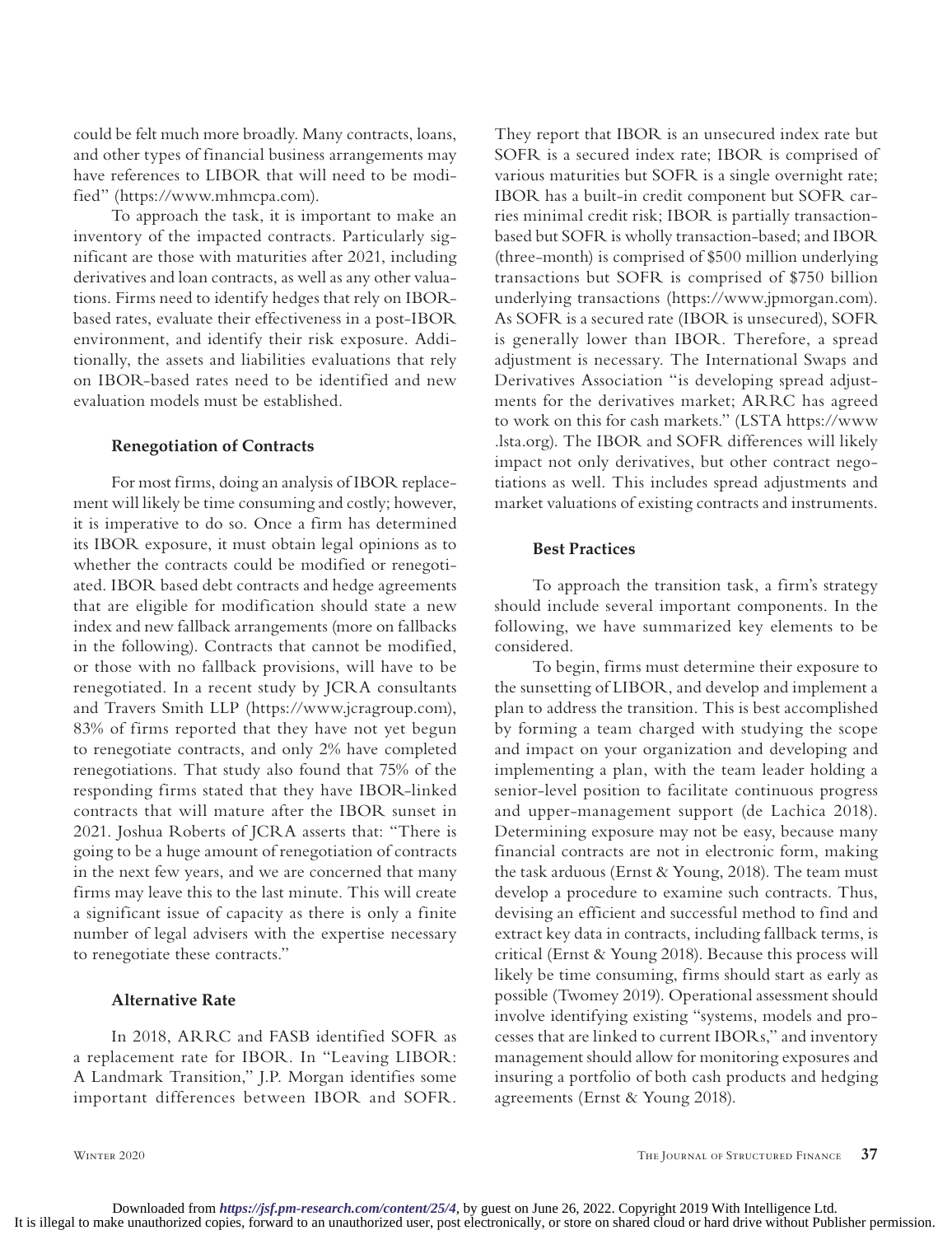could be felt much more broadly. Many contracts, loans, and other types of financial business arrangements may have references to LIBOR that will need to be modified" (https://www.mhmcpa.com).

To approach the task, it is important to make an inventory of the impacted contracts. Particularly significant are those with maturities after 2021, including derivatives and loan contracts, as well as any other valuations. Firms need to identify hedges that rely on IBORbased rates, evaluate their effectiveness in a post-IBOR environment, and identify their risk exposure. Additionally, the assets and liabilities evaluations that rely on IBOR-based rates need to be identified and new evaluation models must be established.

#### **Renegotiation of Contracts**

For most firms, doing an analysis of IBOR replacement will likely be time consuming and costly; however, it is imperative to do so. Once a firm has determined its IBOR exposure, it must obtain legal opinions as to whether the contracts could be modified or renegotiated. IBOR based debt contracts and hedge agreements that are eligible for modification should state a new index and new fallback arrangements (more on fallbacks in the following). Contracts that cannot be modified, or those with no fallback provisions, will have to be renegotiated. In a recent study by JCRA consultants and Travers Smith LLP (https://www.jcragroup.com), 83% of firms reported that they have not yet begun to renegotiate contracts, and only 2% have completed renegotiations. That study also found that 75% of the responding firms stated that they have IBOR-linked contracts that will mature after the IBOR sunset in 2021. Joshua Roberts of JCRA asserts that: "There is going to be a huge amount of renegotiation of contracts in the next few years, and we are concerned that many firms may leave this to the last minute. This will create a significant issue of capacity as there is only a finite number of legal advisers with the expertise necessary to renegotiate these contracts."

#### **Alternative Rate**

In 2018, ARRC and FASB identified SOFR as a replacement rate for IBOR. In "Leaving LIBOR: A Landmark Transition," J.P. Morgan identifies some important differences between IBOR and SOFR.

They report that IBOR is an unsecured index rate but SOFR is a secured index rate; IBOR is comprised of various maturities but SOFR is a single overnight rate; IBOR has a built-in credit component but SOFR carries minimal credit risk; IBOR is partially transactionbased but SOFR is wholly transaction-based; and IBOR (three-month) is comprised of \$500 million underlying transactions but SOFR is comprised of \$750 billion underlying transactions (https://www.jpmorgan.com). As SOFR is a secured rate (IBOR is unsecured), SOFR is generally lower than IBOR. Therefore, a spread adjustment is necessary. The International Swaps and Derivatives Association "is developing spread adjustments for the derivatives market; ARRC has agreed to work on this for cash markets." (LSTA https://www .lsta.org). The IBOR and SOFR differences will likely impact not only derivatives, but other contract negotiations as well. This includes spread adjustments and market valuations of existing contracts and instruments.

#### **Best Practices**

To approach the transition task, a firm's strategy should include several important components. In the following, we have summarized key elements to be considered.

To begin, firms must determine their exposure to the sunsetting of LIBOR, and develop and implement a plan to address the transition. This is best accomplished by forming a team charged with studying the scope and impact on your organization and developing and implementing a plan, with the team leader holding a senior-level position to facilitate continuous progress and upper-management support (de Lachica 2018). Determining exposure may not be easy, because many financial contracts are not in electronic form, making the task arduous (Ernst & Young, 2018). The team must develop a procedure to examine such contracts. Thus, devising an efficient and successful method to find and extract key data in contracts, including fallback terms, is critical (Ernst & Young 2018). Because this process will likely be time consuming, firms should start as early as possible (Twomey 2019). Operational assessment should involve identifying existing "systems, models and processes that are linked to current IBORs," and inventory management should allow for monitoring exposures and insuring a portfolio of both cash products and hedging agreements (Ernst & Young 2018).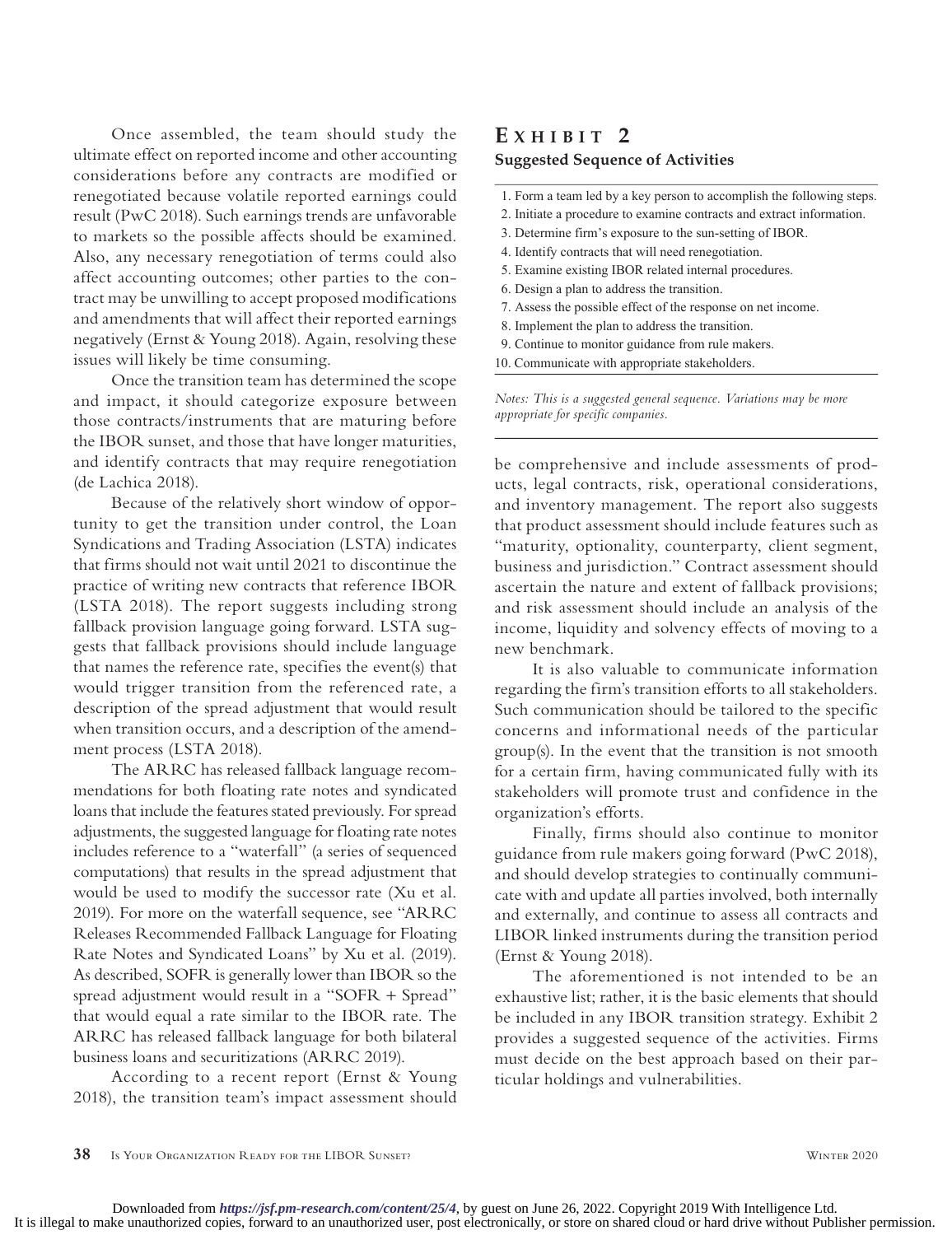Once assembled, the team should study the ultimate effect on reported income and other accounting considerations before any contracts are modified or renegotiated because volatile reported earnings could result (PwC 2018). Such earnings trends are unfavorable to markets so the possible affects should be examined. Also, any necessary renegotiation of terms could also affect accounting outcomes; other parties to the contract may be unwilling to accept proposed modifications and amendments that will affect their reported earnings negatively (Ernst & Young 2018). Again, resolving these issues will likely be time consuming.

Once the transition team has determined the scope and impact, it should categorize exposure between those contracts/instruments that are maturing before the IBOR sunset, and those that have longer maturities, and identify contracts that may require renegotiation (de Lachica 2018).

Because of the relatively short window of opportunity to get the transition under control, the Loan Syndications and Trading Association (LSTA) indicates that firms should not wait until 2021 to discontinue the practice of writing new contracts that reference IBOR (LSTA 2018). The report suggests including strong fallback provision language going forward. LSTA suggests that fallback provisions should include language that names the reference rate, specifies the event(s) that would trigger transition from the referenced rate, a description of the spread adjustment that would result when transition occurs, and a description of the amendment process (LSTA 2018).

The ARRC has released fallback language recommendations for both floating rate notes and syndicated loans that include the features stated previously. For spread adjustments, the suggested language for floating rate notes includes reference to a "waterfall" (a series of sequenced computations) that results in the spread adjustment that would be used to modify the successor rate (Xu et al. 2019). For more on the waterfall sequence, see "ARRC Releases Recommended Fallback Language for Floating Rate Notes and Syndicated Loans" by Xu et al. (2019). As described, SOFR is generally lower than IBOR so the spread adjustment would result in a "SOFR + Spread" that would equal a rate similar to the IBOR rate. The ARRC has released fallback language for both bilateral business loans and securitizations (ARRC 2019).

According to a recent report (Ernst & Young 2018), the transition team's impact assessment should

# **E x H I B IT 2**

## **Suggested Sequence of Activities**

- 1. Form a team led by a key person to accomplish the following steps.
- 2. Initiate a procedure to examine contracts and extract information.
- 3. Determine firm's exposure to the sun-setting of IBOR.
- 4. Identify contracts that will need renegotiation.
- 5. Examine existing IBOR related internal procedures.
- 6. Design a plan to address the transition.
- 7. Assess the possible effect of the response on net income.
- 8. Implement the plan to address the transition.
- 9. Continue to monitor guidance from rule makers.
- 10. Communicate with appropriate stakeholders.

*Notes: This is a suggested general sequence. Variations may be more appropriate for specific companies.*

be comprehensive and include assessments of products, legal contracts, risk, operational considerations, and inventory management. The report also suggests that product assessment should include features such as "maturity, optionality, counterparty, client segment, business and jurisdiction." Contract assessment should ascertain the nature and extent of fallback provisions; and risk assessment should include an analysis of the income, liquidity and solvency effects of moving to a new benchmark.

It is also valuable to communicate information regarding the firm's transition efforts to all stakeholders. Such communication should be tailored to the specific concerns and informational needs of the particular group(s). In the event that the transition is not smooth for a certain firm, having communicated fully with its stakeholders will promote trust and confidence in the organization's efforts.

Finally, firms should also continue to monitor guidance from rule makers going forward (PwC 2018), and should develop strategies to continually communicate with and update all parties involved, both internally and externally, and continue to assess all contracts and LIBOR linked instruments during the transition period (Ernst & Young 2018).

The aforementioned is not intended to be an exhaustive list; rather, it is the basic elements that should be included in any IBOR transition strategy. Exhibit 2 provides a suggested sequence of the activities. Firms must decide on the best approach based on their particular holdings and vulnerabilities.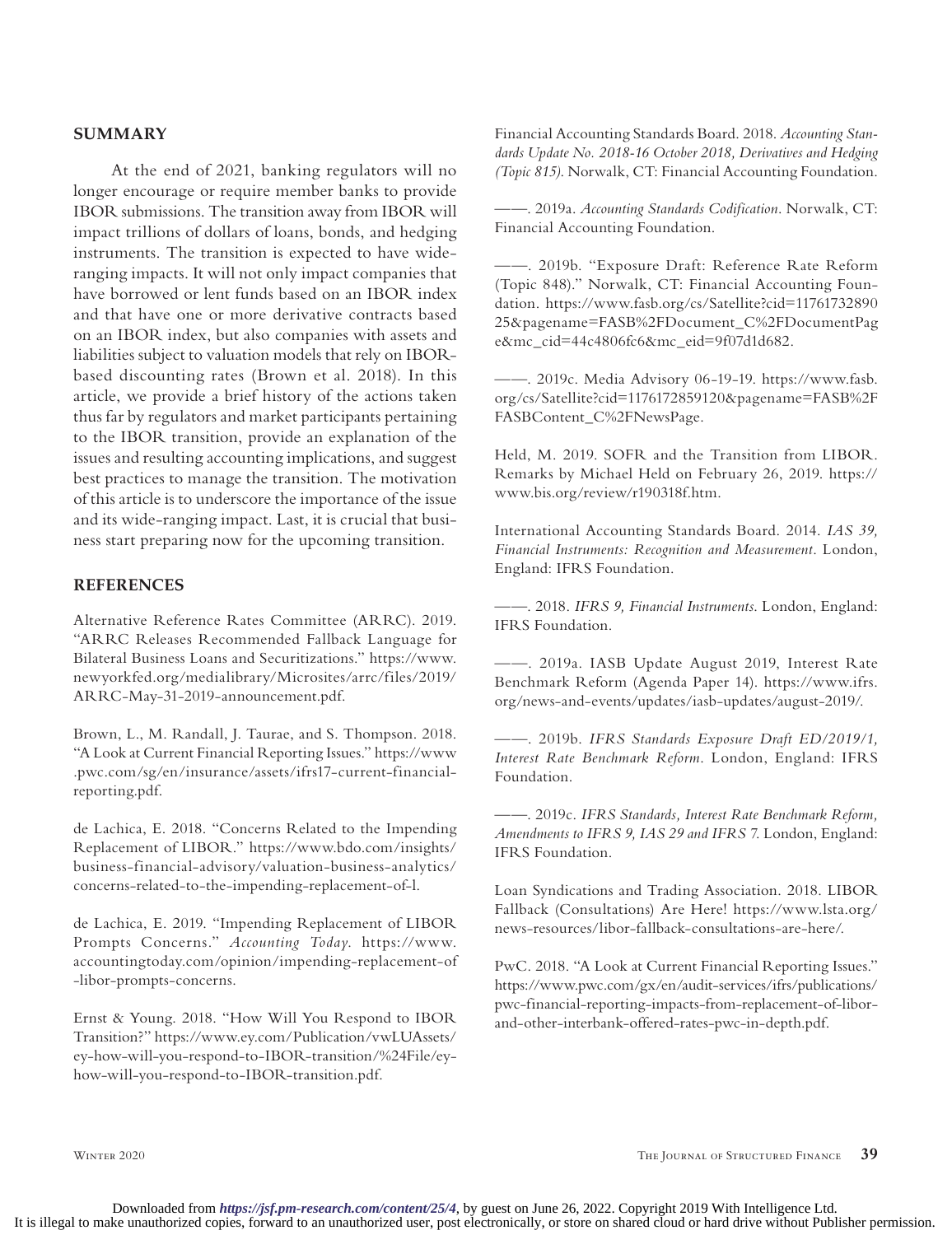## **SUMMARY**

At the end of 2021, banking regulators will no longer encourage or require member banks to provide IBOR submissions. The transition away from IBOR will impact trillions of dollars of loans, bonds, and hedging instruments. The transition is expected to have wideranging impacts. It will not only impact companies that have borrowed or lent funds based on an IBOR index and that have one or more derivative contracts based on an IBOR index, but also companies with assets and liabilities subject to valuation models that rely on IBORbased discounting rates (Brown et al. 2018). In this article, we provide a brief history of the actions taken thus far by regulators and market participants pertaining to the IBOR transition, provide an explanation of the issues and resulting accounting implications, and suggest best practices to manage the transition. The motivation of this article is to underscore the importance of the issue and its wide-ranging impact. Last, it is crucial that business start preparing now for the upcoming transition.

### **REFERENCES**

Alternative Reference Rates Committee (ARRC). 2019. "ARRC Releases Recommended Fallback Language for Bilateral Business Loans and Securitizations." [https://www.](about:blank) [newyorkfed.org/medialibrary/Microsites/arrc/files/2019/](about:blank) [ARRC-May-31-2019-announcement.pdf.](about:blank)

Brown, L., M. Randall, J. Taurae, and S. Thompson. 2018. "A Look at Current Financial Reporting Issues." [https://www](about:blank) [.pwc.com/sg/en/insurance/assets/ifrs17-current-financial](about:blank)[reporting.pdf.](about:blank)

de Lachica, E. 2018. "Concerns Related to the Impending Replacement of LIBOR." [https://www.bdo.com/insights/](about:blank) [business-financial-advisory/valuation-business-analytics/](about:blank) [concerns-related-to-the-impending-replacement-of-l.](about:blank)

de Lachica, E. 2019. "Impending Replacement of LIBOR Prompts Concerns." *Accounting Today*. [https://www.](about:blank) [accountingtoday.com/opinion/impending-replacement-of](about:blank) [-libor-prompts-concerns](about:blank).

Ernst & Young. 2018. "How Will You Respond to IBOR Transition?" [https://www.ey.com/Publication/vwLUAssets/](about:blank) [ey-how-will-you-respond-to-IBOR-transition/%24File/ey](about:blank)[how-will-you-respond-to-IBOR-transition.pdf](about:blank).

Financial Accounting Standards Board. 2018. *Accounting Standards Update No. 2018-16 October 2018, Derivatives and Hedging (Topic 815)*. Norwalk, CT: Financial Accounting Foundation.

——. 2019a. *Accounting Standards Codification*. Norwalk, CT: Financial Accounting Foundation.

——. 2019b. "Exposure Draft: Reference Rate Reform (Topic 848)." Norwalk, CT: Financial Accounting Foundation. [https://www.fasb.org/cs/Satellite?cid=11761732890](about:blank) [25&pagename=FASB%2FDocument\\_C%2FDocumentPag](about:blank) [e&mc\\_cid=44c4806fc6&mc\\_eid=9f07d1d682.](about:blank)

——. 2019c. Media Advisory 06-19-19. [https://www.fasb.](about:blank) [org/cs/Satellite?cid=1176172859120&pagename=FASB%2F](about:blank) [FASBContent\\_C%2FNewsPage.](about:blank)

Held, M. 2019. SOFR and the Transition from LIBOR. Remarks by Michael Held on February 26, 2019. [https://](about:blank) [www.bis.org/review/r190318f.htm.](about:blank)

International Accounting Standards Board. 2014. *IAS 39, Financial Instruments: Recognition and Measurement*. London, England: IFRS Foundation.

——. 2018. *IFRS 9, Financial Instruments*. London, England: IFRS Foundation.

——. 2019a. IASB Update August 2019, Interest Rate Benchmark Reform (Agenda Paper 14). [https://www.ifrs.](about:blank) [org/news-and-events/updates/iasb-updates/august-2019/.](about:blank)

——. 2019b. *IFRS Standards Exposure Draft ED/2019/1, Interest Rate Benchmark Reform*. London, England: IFRS Foundation.

——. 2019c. *IFRS Standards, Interest Rate Benchmark Reform, Amendments to IFRS 9, IAS 29 and IFRS 7*. London, England: IFRS Foundation.

Loan Syndications and Trading Association. 2018. LIBOR Fallback (Consultations) Are Here! [https://www.lsta.org/](about:blank) [news-resources/libor-fallback-consultations-are-here/.](about:blank)

PwC. 2018. "A Look at Current Financial Reporting Issues." [https://www.pwc.com/gx/en/audit-services/ifrs/publications/](about:blank) [pwc-financial-reporting-impacts-from-replacement-of-libor](about:blank)[and-other-interbank-offered-rates-pwc-in-depth.pdf](about:blank).

Winter 2020 The Journal of Structured Finance **39**